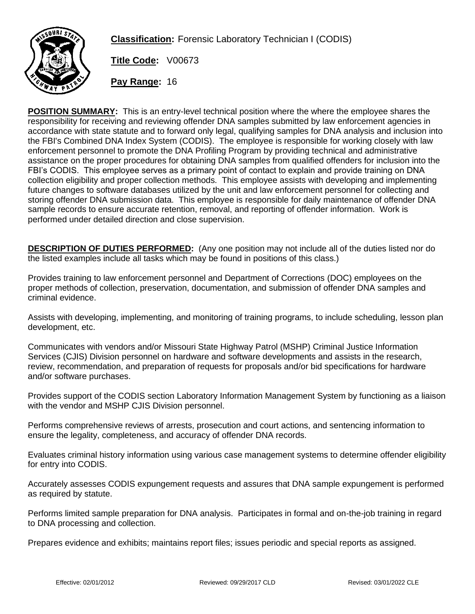

**Classification:** Forensic Laboratory Technician I (CODIS)

**Title Code:** V00673

**Pay Range:** 16

**POSITION SUMMARY:** This is an entry-level technical position where the where the employee shares the responsibility for receiving and reviewing offender DNA samples submitted by law enforcement agencies in accordance with state statute and to forward only legal, qualifying samples for DNA analysis and inclusion into the FBI's Combined DNA Index System (CODIS). The employee is responsible for working closely with law enforcement personnel to promote the DNA Profiling Program by providing technical and administrative assistance on the proper procedures for obtaining DNA samples from qualified offenders for inclusion into the FBI's CODIS. This employee serves as a primary point of contact to explain and provide training on DNA collection eligibility and proper collection methods. This employee assists with developing and implementing future changes to software databases utilized by the unit and law enforcement personnel for collecting and storing offender DNA submission data. This employee is responsible for daily maintenance of offender DNA sample records to ensure accurate retention, removal, and reporting of offender information. Work is performed under detailed direction and close supervision.

**DESCRIPTION OF DUTIES PERFORMED:** (Any one position may not include all of the duties listed nor do the listed examples include all tasks which may be found in positions of this class.)

Provides training to law enforcement personnel and Department of Corrections (DOC) employees on the proper methods of collection, preservation, documentation, and submission of offender DNA samples and criminal evidence.

Assists with developing, implementing, and monitoring of training programs, to include scheduling, lesson plan development, etc.

Communicates with vendors and/or Missouri State Highway Patrol (MSHP) Criminal Justice Information Services (CJIS) Division personnel on hardware and software developments and assists in the research, review, recommendation, and preparation of requests for proposals and/or bid specifications for hardware and/or software purchases.

Provides support of the CODIS section Laboratory Information Management System by functioning as a liaison with the vendor and MSHP CJIS Division personnel.

Performs comprehensive reviews of arrests, prosecution and court actions, and sentencing information to ensure the legality, completeness, and accuracy of offender DNA records.

Evaluates criminal history information using various case management systems to determine offender eligibility for entry into CODIS.

Accurately assesses CODIS expungement requests and assures that DNA sample expungement is performed as required by statute.

Performs limited sample preparation for DNA analysis. Participates in formal and on-the-job training in regard to DNA processing and collection.

Prepares evidence and exhibits; maintains report files; issues periodic and special reports as assigned.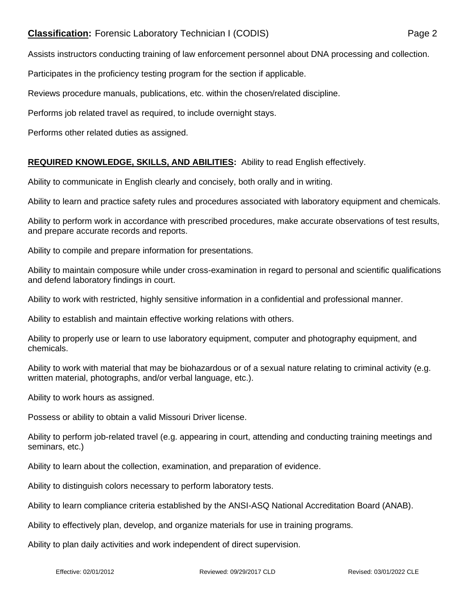## **Classification:** Forensic Laboratory Technician I (CODIS) Page 2

Assists instructors conducting training of law enforcement personnel about DNA processing and collection.

Participates in the proficiency testing program for the section if applicable.

Reviews procedure manuals, publications, etc. within the chosen/related discipline.

Performs job related travel as required, to include overnight stays.

Performs other related duties as assigned.

## **REQUIRED KNOWLEDGE, SKILLS, AND ABILITIES:** Ability to read English effectively.

Ability to communicate in English clearly and concisely, both orally and in writing.

Ability to learn and practice safety rules and procedures associated with laboratory equipment and chemicals.

Ability to perform work in accordance with prescribed procedures, make accurate observations of test results, and prepare accurate records and reports.

Ability to compile and prepare information for presentations.

Ability to maintain composure while under cross-examination in regard to personal and scientific qualifications and defend laboratory findings in court.

Ability to work with restricted, highly sensitive information in a confidential and professional manner.

Ability to establish and maintain effective working relations with others.

Ability to properly use or learn to use laboratory equipment, computer and photography equipment, and chemicals.

Ability to work with material that may be biohazardous or of a sexual nature relating to criminal activity (e.g. written material, photographs, and/or verbal language, etc.).

Ability to work hours as assigned.

Possess or ability to obtain a valid Missouri Driver license.

Ability to perform job-related travel (e.g. appearing in court, attending and conducting training meetings and seminars, etc.)

Ability to learn about the collection, examination, and preparation of evidence.

Ability to distinguish colors necessary to perform laboratory tests.

Ability to learn compliance criteria established by the ANSI-ASQ National Accreditation Board (ANAB).

Ability to effectively plan, develop, and organize materials for use in training programs.

Ability to plan daily activities and work independent of direct supervision.